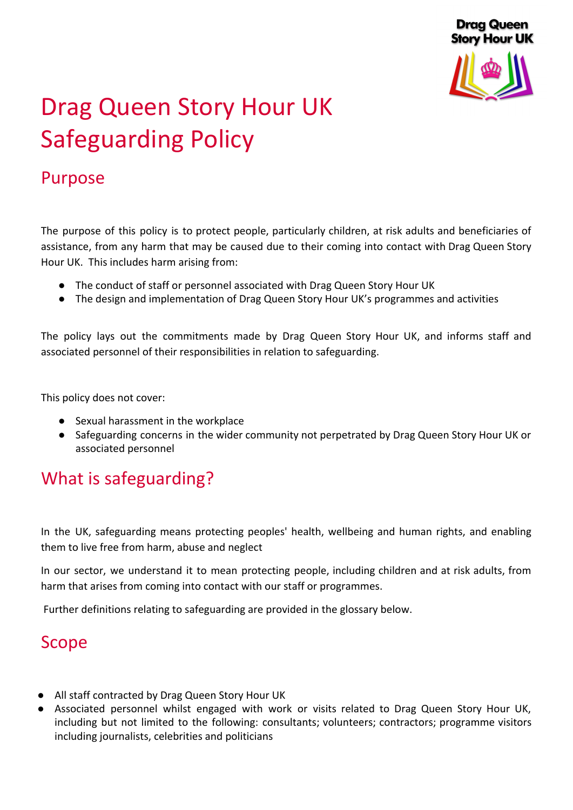

# Drag Queen Story Hour UK Safeguarding Policy

# Purpose

The purpose of this policy is to protect people, particularly children, at risk adults and beneficiaries of assistance, from any harm that may be caused due to their coming into contact with Drag Queen Story Hour UK. This includes harm arising from:

- The conduct of staff or personnel associated with Drag Queen Story Hour UK
- The design and implementation of Drag Queen Story Hour UK's programmes and activities

The policy lays out the commitments made by Drag Queen Story Hour UK, and informs staff and associated personnel of their responsibilities in relation to safeguarding.

This policy does not cover:

- Sexual harassment in the workplace
- Safeguarding concerns in the wider community not perpetrated by Drag Queen Story Hour UK or associated personnel

# What is safeguarding?

In the UK, safeguarding means protecting peoples' health, wellbeing and human rights, and enabling them to live free from harm, abuse and neglect

In our sector, we understand it to mean protecting people, including children and at risk adults, from harm that arises from coming into contact with our staff or programmes.

Further definitions relating to safeguarding are provided in the glossary below.

# Scope

- All staff contracted by Drag Queen Story Hour UK
- Associated personnel whilst engaged with work or visits related to Drag Queen Story Hour UK, including but not limited to the following: consultants; volunteers; contractors; programme visitors including journalists, celebrities and politicians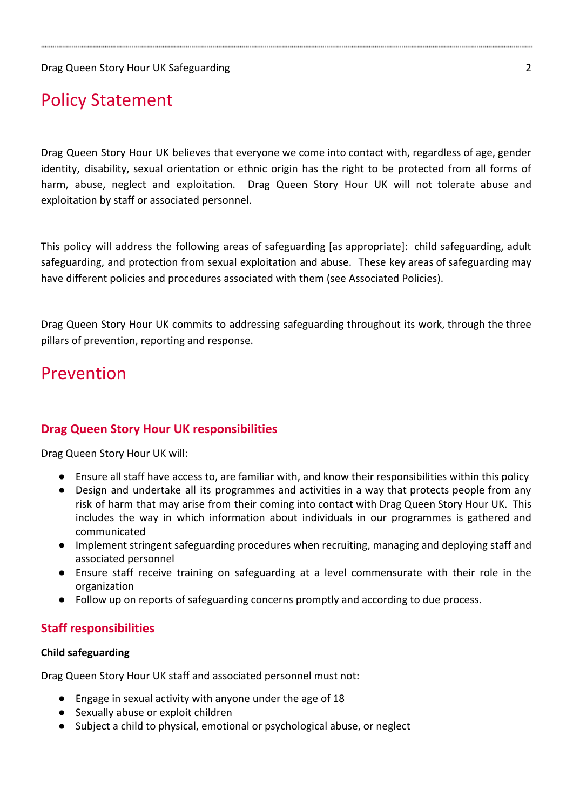# Policy Statement

Drag Queen Story Hour UK believes that everyone we come into contact with, regardless of age, gender identity, disability, sexual orientation or ethnic origin has the right to be protected from all forms of harm, abuse, neglect and exploitation. Drag Queen Story Hour UK will not tolerate abuse and exploitation by staff or associated personnel.

This policy will address the following areas of safeguarding [as appropriate]: child safeguarding, adult safeguarding, and protection from sexual exploitation and abuse. These key areas of safeguarding may have different policies and procedures associated with them (see Associated Policies).

Drag Queen Story Hour UK commits to addressing safeguarding throughout its work, through the three pillars of prevention, reporting and response.

# Prevention

#### **Drag Queen Story Hour UK responsibilities**

Drag Queen Story Hour UK will:

- Ensure all staff have access to, are familiar with, and know their responsibilities within this policy
- Design and undertake all its programmes and activities in a way that protects people from any risk of harm that may arise from their coming into contact with Drag Queen Story Hour UK. This includes the way in which information about individuals in our programmes is gathered and communicated
- Implement stringent safeguarding procedures when recruiting, managing and deploying staff and associated personnel
- Ensure staff receive training on safeguarding at a level commensurate with their role in the organization
- Follow up on reports of safeguarding concerns promptly and according to due process.

#### **Staff responsibilities**

#### **Child safeguarding**

Drag Queen Story Hour UK staff and associated personnel must not:

- Engage in sexual activity with anyone under the age of 18
- Sexually abuse or exploit children
- Subject a child to physical, emotional or psychological abuse, or neglect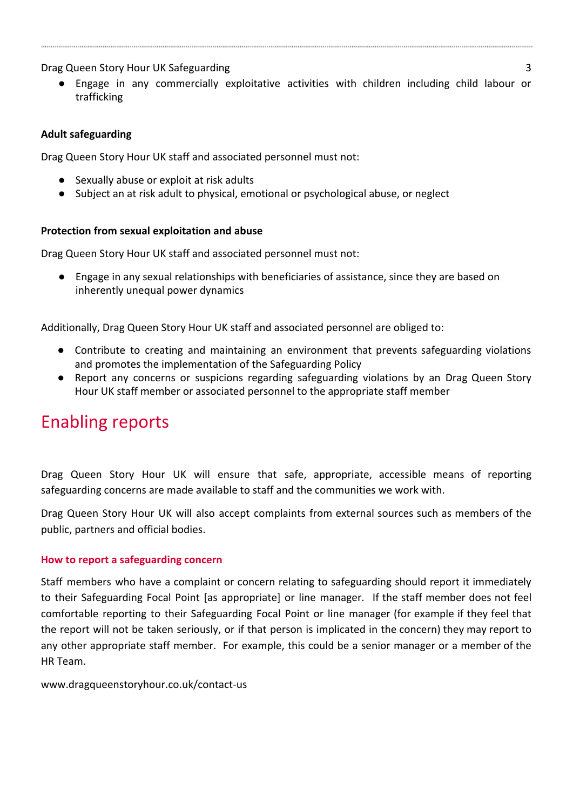Drag Queen Story Hour UK Safeguarding 3

Engage in any commercially exploitative activities with children including child labour or trafficking

#### **Adult safeguarding**

Drag Queen Story Hour UK staff and associated personnel must not:

- Sexually abuse or exploit at risk adults
- Subject an at risk adult to physical, emotional or psychological abuse, or neglect

#### **Protection from sexual exploitation and abuse**

Drag Queen Story Hour UK staff and associated personnel must not:

Engage in any sexual relationships with beneficiaries of assistance, since they are based on inherently unequal power dynamics

Additionally, Drag Queen Story Hour UK staff and associated personnel are obliged to:

- Contribute to creating and maintaining an environment that prevents safeguarding violations and promotes the implementation of the Safeguarding Policy
- Report any concerns or suspicions regarding safeguarding violations by an Drag Queen Story Hour UK staff member or associated personnel to the appropriate staff member

# Enabling reports

Drag Queen Story Hour UK will ensure that safe, appropriate, accessible means of reporting safeguarding concerns are made available to staff and the communities we work with.

Drag Queen Story Hour UK will also accept complaints from external sources such as members of the public, partners and official bodies.

#### **How to report a safeguarding concern**

Staff members who have a complaint or concern relating to safeguarding should report it immediately to their Safeguarding Focal Point [as appropriate] or line manager. If the staff member does not feel comfortable reporting to their Safeguarding Focal Point or line manager (for example if they feel that the report will not be taken seriously, or if that person is implicated in the concern) they may report to any other appropriate staff member. For example, this could be a senior manager or a member of the HR Team.

www.dragqueenstoryhour.co.uk/contact-us